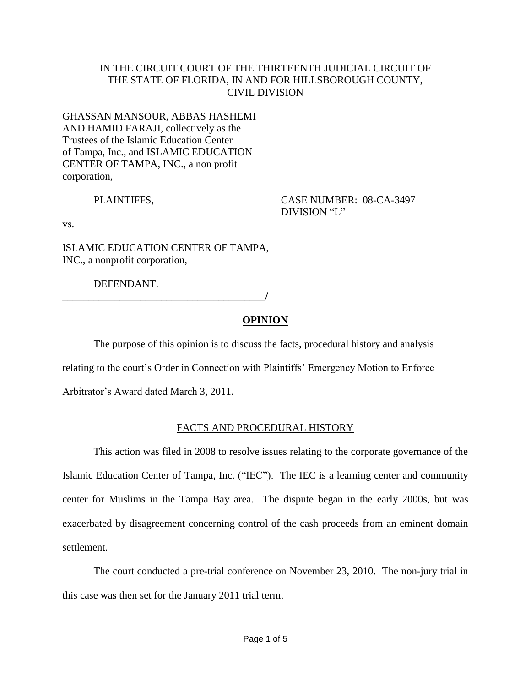### IN THE CIRCUIT COURT OF THE THIRTEENTH JUDICIAL CIRCUIT OF THE STATE OF FLORIDA, IN AND FOR HILLSBOROUGH COUNTY, CIVIL DIVISION

## GHASSAN MANSOUR, ABBAS HASHEMI AND HAMID FARAJI, collectively as the Trustees of the Islamic Education Center of Tampa, Inc., and ISLAMIC EDUCATION CENTER OF TAMPA, INC., a non profit corporation,

PLAINTIFFS, CASE NUMBER: 08-CA-3497 DIVISION "L"

vs.

ISLAMIC EDUCATION CENTER OF TAMPA, INC., a nonprofit corporation,

DEFENDANT.

**\_\_\_\_\_\_\_\_\_\_\_\_\_\_\_\_\_\_\_\_\_\_\_\_\_\_\_\_\_\_\_\_\_\_\_\_\_\_\_/**

# **OPINION**

The purpose of this opinion is to discuss the facts, procedural history and analysis

relating to the court's Order in Connection with Plaintiffs' Emergency Motion to Enforce

Arbitrator's Award dated March 3, 2011.

# FACTS AND PROCEDURAL HISTORY

This action was filed in 2008 to resolve issues relating to the corporate governance of the Islamic Education Center of Tampa, Inc. ("IEC"). The IEC is a learning center and community center for Muslims in the Tampa Bay area. The dispute began in the early 2000s, but was exacerbated by disagreement concerning control of the cash proceeds from an eminent domain settlement.

The court conducted a pre-trial conference on November 23, 2010. The non-jury trial in this case was then set for the January 2011 trial term.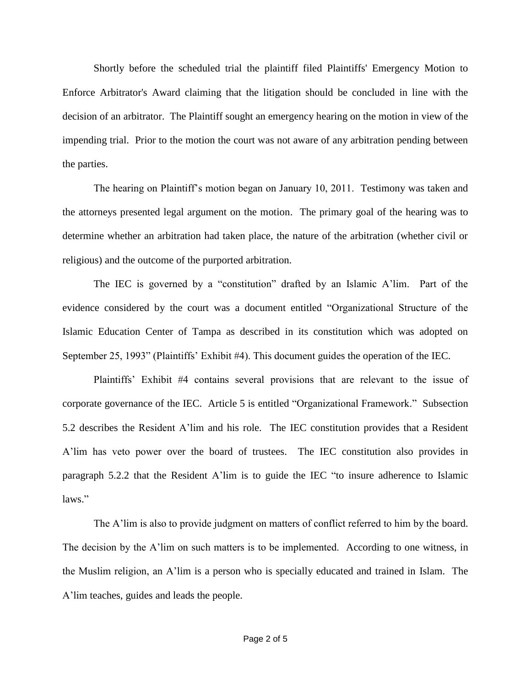Shortly before the scheduled trial the plaintiff filed Plaintiffs' Emergency Motion to Enforce Arbitrator's Award claiming that the litigation should be concluded in line with the decision of an arbitrator. The Plaintiff sought an emergency hearing on the motion in view of the impending trial. Prior to the motion the court was not aware of any arbitration pending between the parties.

The hearing on Plaintiff's motion began on January 10, 2011. Testimony was taken and the attorneys presented legal argument on the motion. The primary goal of the hearing was to determine whether an arbitration had taken place, the nature of the arbitration (whether civil or religious) and the outcome of the purported arbitration.

The IEC is governed by a "constitution" drafted by an Islamic A'lim. Part of the evidence considered by the court was a document entitled "Organizational Structure of the Islamic Education Center of Tampa as described in its constitution which was adopted on September 25, 1993" (Plaintiffs' Exhibit #4). This document guides the operation of the IEC.

Plaintiffs' Exhibit #4 contains several provisions that are relevant to the issue of corporate governance of the IEC. Article 5 is entitled "Organizational Framework." Subsection 5.2 describes the Resident A'lim and his role. The IEC constitution provides that a Resident A'lim has veto power over the board of trustees. The IEC constitution also provides in paragraph 5.2.2 that the Resident A'lim is to guide the IEC "to insure adherence to Islamic laws."

The A'lim is also to provide judgment on matters of conflict referred to him by the board. The decision by the A'lim on such matters is to be implemented. According to one witness, in the Muslim religion, an A'lim is a person who is specially educated and trained in Islam. The A'lim teaches, guides and leads the people.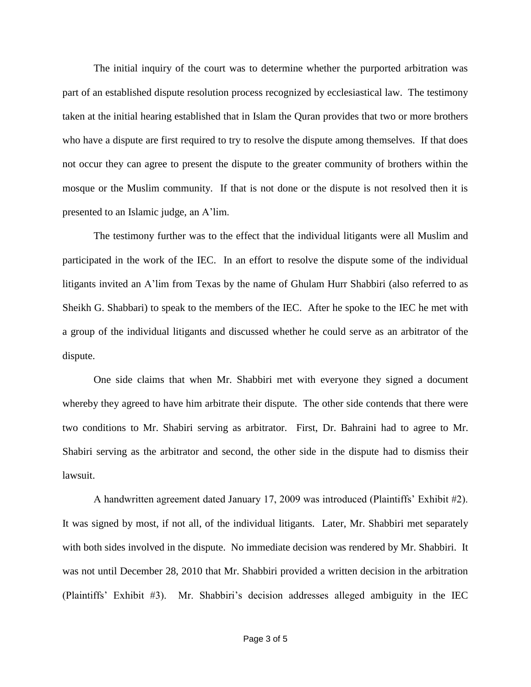The initial inquiry of the court was to determine whether the purported arbitration was part of an established dispute resolution process recognized by ecclesiastical law. The testimony taken at the initial hearing established that in Islam the Quran provides that two or more brothers who have a dispute are first required to try to resolve the dispute among themselves. If that does not occur they can agree to present the dispute to the greater community of brothers within the mosque or the Muslim community. If that is not done or the dispute is not resolved then it is presented to an Islamic judge, an A'lim.

The testimony further was to the effect that the individual litigants were all Muslim and participated in the work of the IEC. In an effort to resolve the dispute some of the individual litigants invited an A'lim from Texas by the name of Ghulam Hurr Shabbiri (also referred to as Sheikh G. Shabbari) to speak to the members of the IEC. After he spoke to the IEC he met with a group of the individual litigants and discussed whether he could serve as an arbitrator of the dispute.

One side claims that when Mr. Shabbiri met with everyone they signed a document whereby they agreed to have him arbitrate their dispute. The other side contends that there were two conditions to Mr. Shabiri serving as arbitrator. First, Dr. Bahraini had to agree to Mr. Shabiri serving as the arbitrator and second, the other side in the dispute had to dismiss their lawsuit.

A handwritten agreement dated January 17, 2009 was introduced (Plaintiffs' Exhibit #2). It was signed by most, if not all, of the individual litigants. Later, Mr. Shabbiri met separately with both sides involved in the dispute. No immediate decision was rendered by Mr. Shabbiri. It was not until December 28, 2010 that Mr. Shabbiri provided a written decision in the arbitration (Plaintiffs' Exhibit #3). Mr. Shabbiri's decision addresses alleged ambiguity in the IEC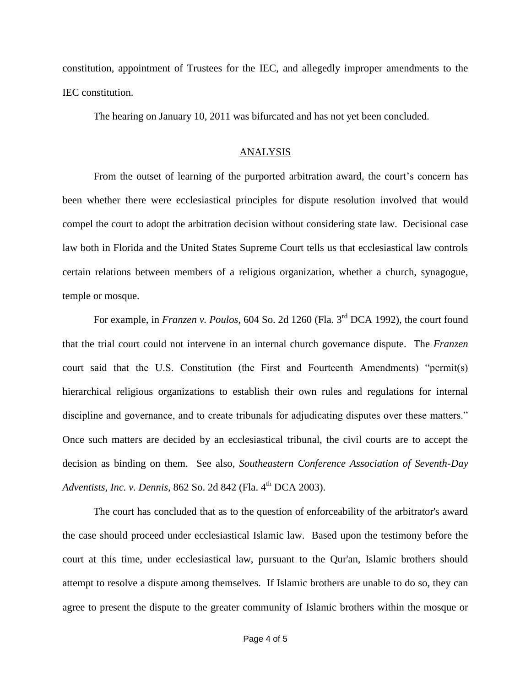constitution, appointment of Trustees for the IEC, and allegedly improper amendments to the IEC constitution.

The hearing on January 10, 2011 was bifurcated and has not yet been concluded.

#### ANALYSIS

From the outset of learning of the purported arbitration award, the court's concern has been whether there were ecclesiastical principles for dispute resolution involved that would compel the court to adopt the arbitration decision without considering state law. Decisional case law both in Florida and the United States Supreme Court tells us that ecclesiastical law controls certain relations between members of a religious organization, whether a church, synagogue, temple or mosque.

For example, in *Franzen v. Poulos*, 604 So. 2d 1260 (Fla. 3<sup>rd</sup> DCA 1992), the court found that the trial court could not intervene in an internal church governance dispute. The *Franzen* court said that the U.S. Constitution (the First and Fourteenth Amendments) "permit(s) hierarchical religious organizations to establish their own rules and regulations for internal discipline and governance, and to create tribunals for adjudicating disputes over these matters." Once such matters are decided by an ecclesiastical tribunal, the civil courts are to accept the decision as binding on them. See also, *Southeastern Conference Association of Seventh-Day Adventists, Inc. v. Dennis, 862 So. 2d 842 (Fla. 4<sup>th</sup> DCA 2003).* 

The court has concluded that as to the question of enforceability of the arbitrator's award the case should proceed under ecclesiastical Islamic law. Based upon the testimony before the court at this time, under ecclesiastical law, pursuant to the Qur'an, Islamic brothers should attempt to resolve a dispute among themselves. If Islamic brothers are unable to do so, they can agree to present the dispute to the greater community of Islamic brothers within the mosque or